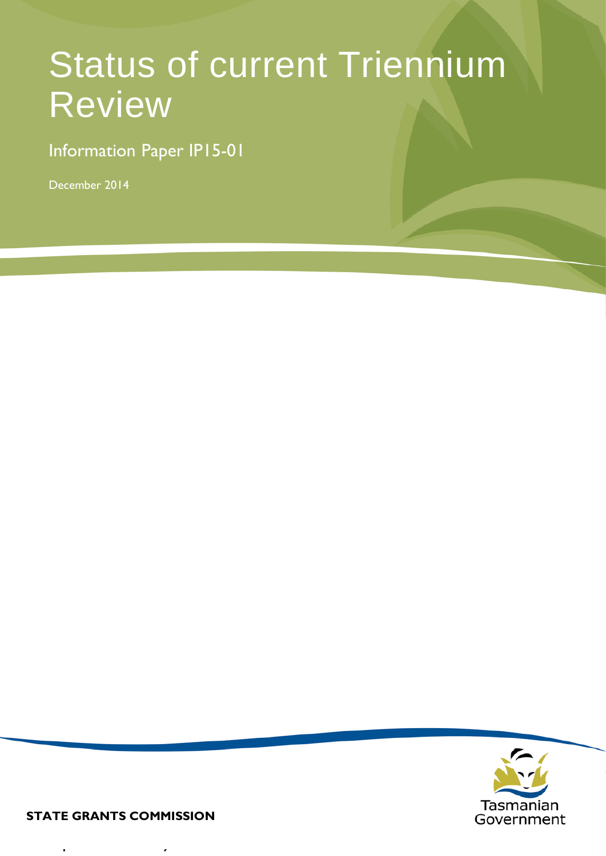# Status of current Triennium Review

Information Paper IP15-01

December 2014



**STATE GRANTS COMMISSION**

 $\overline{\phantom{a}}$ 

J.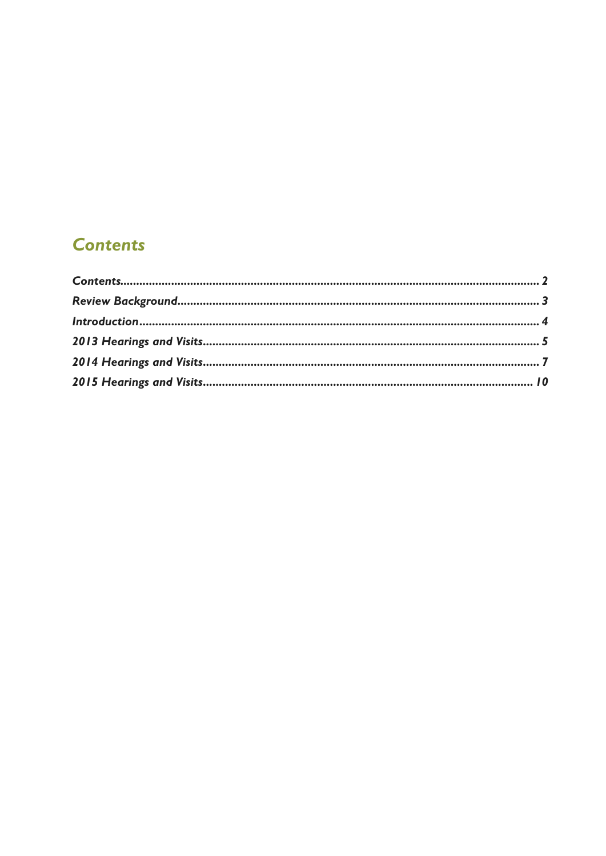### <span id="page-1-0"></span>**Contents**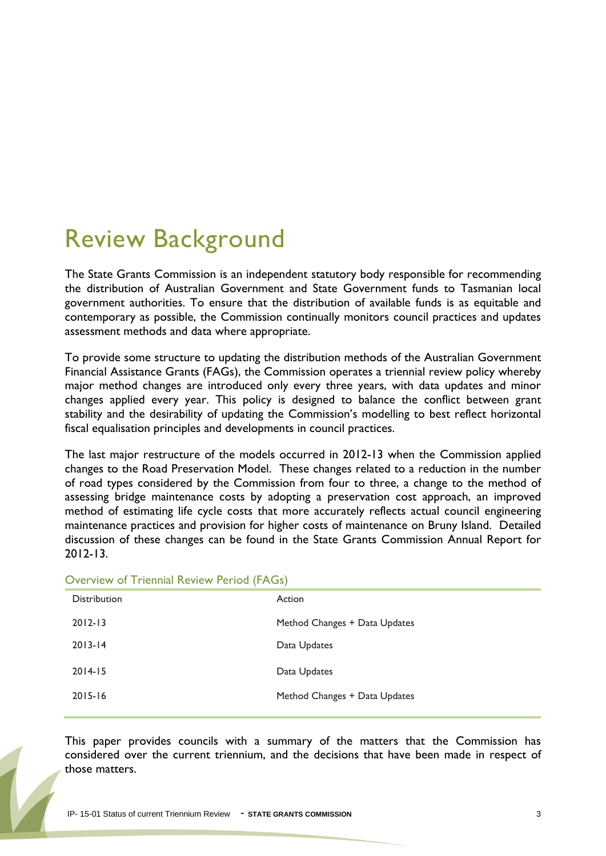### <span id="page-2-0"></span>Review Background

The State Grants Commission is an independent statutory body responsible for recommending the distribution of Australian Government and State Government funds to Tasmanian local government authorities. To ensure that the distribution of available funds is as equitable and contemporary as possible, the Commission continually monitors council practices and updates assessment methods and data where appropriate.

To provide some structure to updating the distribution methods of the Australian Government Financial Assistance Grants (FAGs), the Commission operates a triennial review policy whereby major method changes are introduced only every three years, with data updates and minor changes applied every year. This policy is designed to balance the conflict between grant stability and the desirability of updating the Commission's modelling to best reflect horizontal fiscal equalisation principles and developments in council practices.

The last major restructure of the models occurred in 2012-13 when the Commission applied changes to the Road Preservation Model. These changes related to a reduction in the number of road types considered by the Commission from four to three, a change to the method of assessing bridge maintenance costs by adopting a preservation cost approach, an improved method of estimating life cycle costs that more accurately reflects actual council engineering maintenance practices and provision for higher costs of maintenance on Bruny Island. Detailed discussion of these changes can be found in the State Grants Commission Annual Report for 2012-13.

| <b>Distribution</b> | Action                        |
|---------------------|-------------------------------|
| $2012 - 13$         | Method Changes + Data Updates |
| $2013 - 14$         | Data Updates                  |
| $2014 - 15$         | Data Updates                  |
| $2015 - 16$         | Method Changes + Data Updates |
|                     |                               |

#### Overview of Triennial Review Period (FAGs)

This paper provides councils with a summary of the matters that the Commission has considered over the current triennium, and the decisions that have been made in respect of those matters.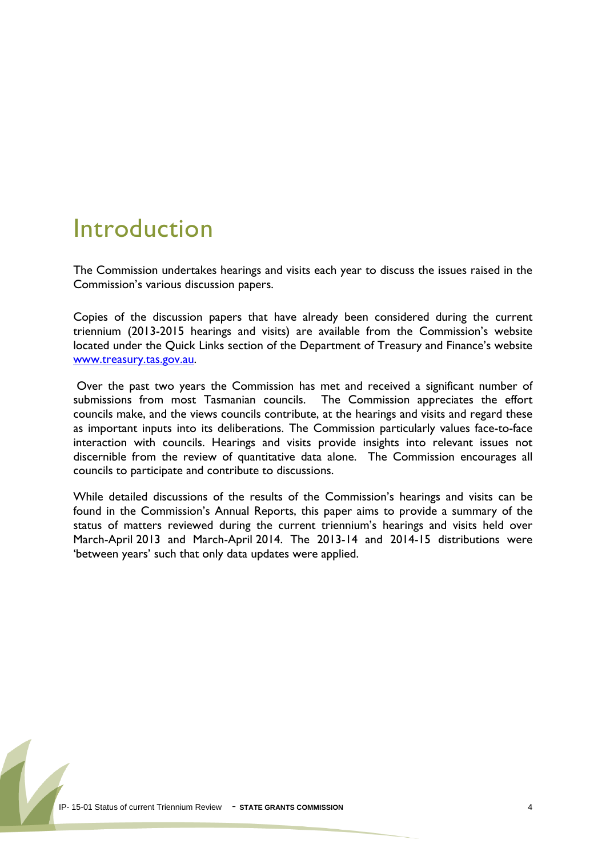### <span id="page-3-0"></span>Introduction

The Commission undertakes hearings and visits each year to discuss the issues raised in the Commission's various discussion papers.

Copies of the discussion papers that have already been considered during the current triennium (2013-2015 hearings and visits) are available from the Commission's website located under the Quick Links section of the Department of Treasury and Finance's website [www.treasury.tas.gov.au.](http://www.treasury.tas.gov.au/)

Over the past two years the Commission has met and received a significant number of submissions from most Tasmanian councils. The Commission appreciates the effort councils make, and the views councils contribute, at the hearings and visits and regard these as important inputs into its deliberations. The Commission particularly values face-to-face interaction with councils. Hearings and visits provide insights into relevant issues not discernible from the review of quantitative data alone. The Commission encourages all councils to participate and contribute to discussions.

While detailed discussions of the results of the Commission's hearings and visits can be found in the Commission's Annual Reports, this paper aims to provide a summary of the status of matters reviewed during the current triennium's hearings and visits held over March-April 2013 and March-April 2014. The 2013-14 and 2014-15 distributions were 'between years' such that only data updates were applied.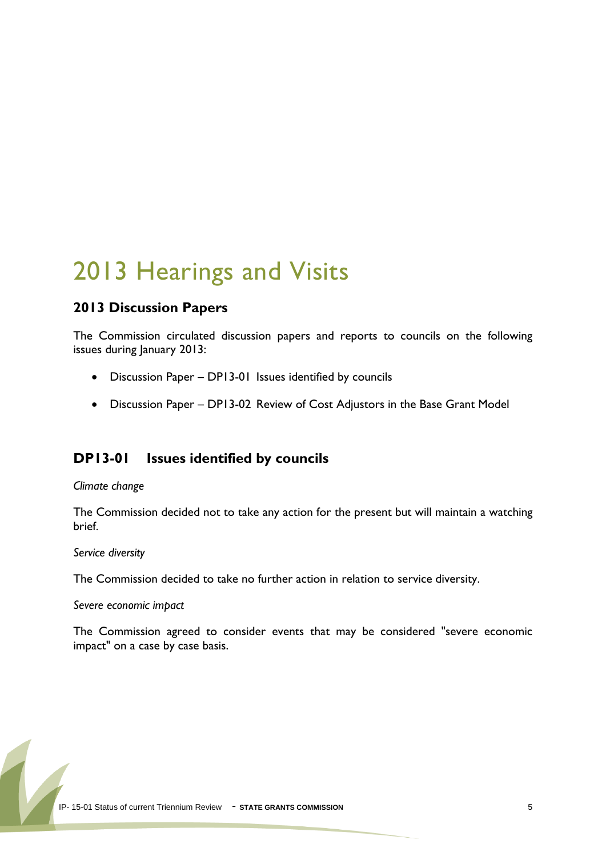### <span id="page-4-0"></span>2013 Hearings and Visits

#### **2013 Discussion Papers**

The Commission circulated discussion papers and reports to councils on the following issues during January 2013:

- Discussion Paper DP13-01 Issues identified by councils
- Discussion Paper DP13-02 Review of Cost Adjustors in the Base Grant Model

#### **DP13-01 Issues identified by councils**

*Climate change*

The Commission decided not to take any action for the present but will maintain a watching brief.

*Service diversity*

The Commission decided to take no further action in relation to service diversity.

*Severe economic impact*

The Commission agreed to consider events that may be considered "severe economic impact" on a case by case basis.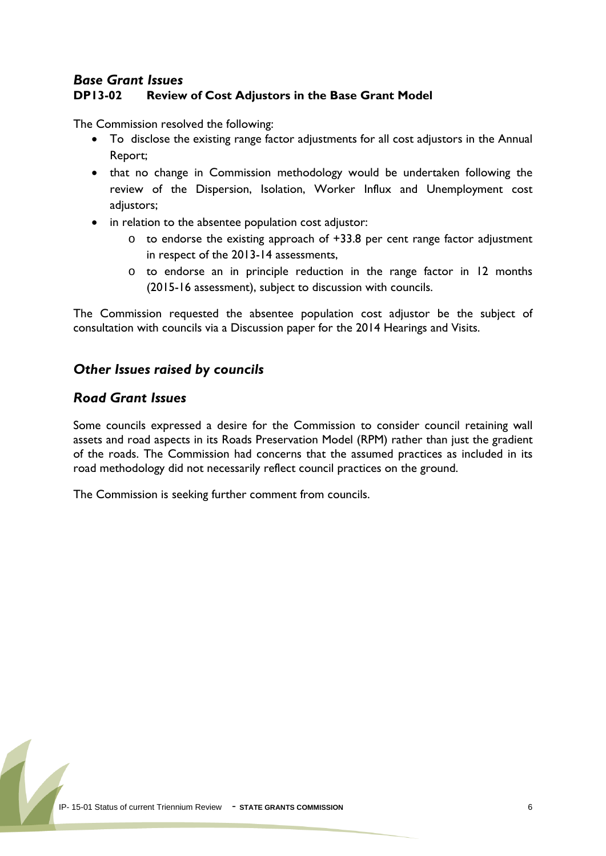#### *Base Grant Issues* **DP13-02 Review of Cost Adjustors in the Base Grant Model**

The Commission resolved the following:

- To disclose the existing range factor adjustments for all cost adjustors in the Annual Report;
- that no change in Commission methodology would be undertaken following the review of the Dispersion, Isolation, Worker Influx and Unemployment cost adjustors;
- in relation to the absentee population cost adjustor:
	- o to endorse the existing approach of +33.8 per cent range factor adjustment in respect of the 2013-14 assessments,
	- o to endorse an in principle reduction in the range factor in 12 months (2015-16 assessment), subject to discussion with councils.

The Commission requested the absentee population cost adjustor be the subject of consultation with councils via a Discussion paper for the 2014 Hearings and Visits.

#### *Other Issues raised by councils*

#### *Road Grant Issues*

Some councils expressed a desire for the Commission to consider council retaining wall assets and road aspects in its Roads Preservation Model (RPM) rather than just the gradient of the roads. The Commission had concerns that the assumed practices as included in its road methodology did not necessarily reflect council practices on the ground.

The Commission is seeking further comment from councils.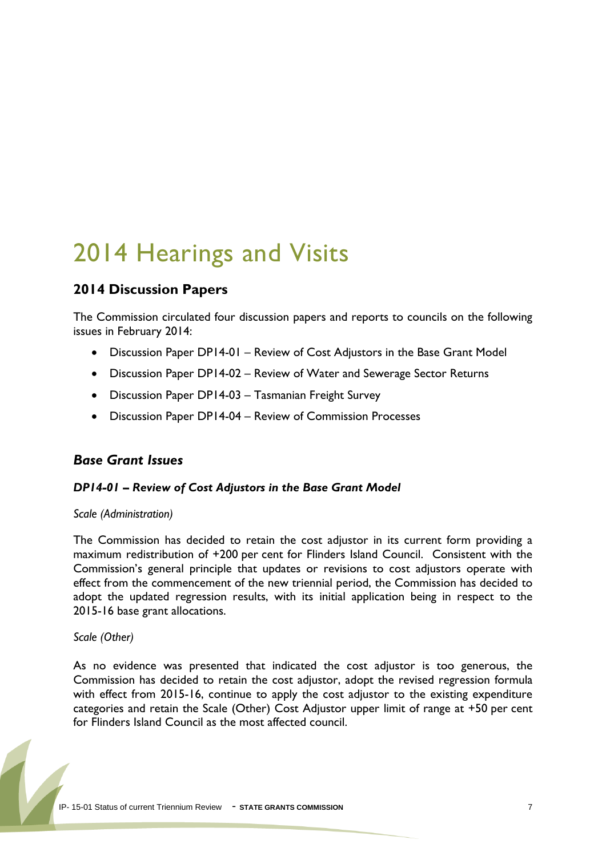## <span id="page-6-0"></span>2014 Hearings and Visits

#### **2014 Discussion Papers**

The Commission circulated four discussion papers and reports to councils on the following issues in February 2014:

- Discussion Paper DP14-01 Review of Cost Adjustors in the Base Grant Model
- Discussion Paper DP14-02 Review of Water and Sewerage Sector Returns
- Discussion Paper DP14-03 Tasmanian Freight Survey
- Discussion Paper DP14-04 Review of Commission Processes

#### *Base Grant Issues*

#### *DP14-01 – Review of Cost Adjustors in the Base Grant Model*

#### *Scale (Administration)*

The Commission has decided to retain the cost adjustor in its current form providing a maximum redistribution of +200 per cent for Flinders Island Council. Consistent with the Commission's general principle that updates or revisions to cost adjustors operate with effect from the commencement of the new triennial period, the Commission has decided to adopt the updated regression results, with its initial application being in respect to the 2015-16 base grant allocations.

*Scale (Other)*

As no evidence was presented that indicated the cost adjustor is too generous, the Commission has decided to retain the cost adjustor, adopt the revised regression formula with effect from 2015-16, continue to apply the cost adjustor to the existing expenditure categories and retain the Scale (Other) Cost Adjustor upper limit of range at +50 per cent for Flinders Island Council as the most affected council.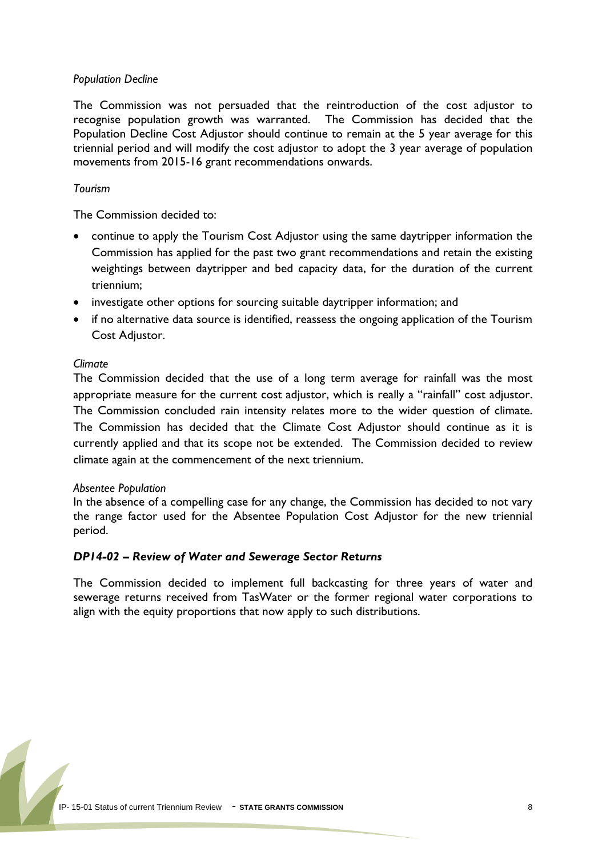#### *Population Decline*

The Commission was not persuaded that the reintroduction of the cost adjustor to recognise population growth was warranted. The Commission has decided that the Population Decline Cost Adjustor should continue to remain at the 5 year average for this triennial period and will modify the cost adjustor to adopt the 3 year average of population movements from 2015-16 grant recommendations onwards.

#### *Tourism*

The Commission decided to:

- continue to apply the Tourism Cost Adjustor using the same daytripper information the Commission has applied for the past two grant recommendations and retain the existing weightings between daytripper and bed capacity data, for the duration of the current triennium;
- investigate other options for sourcing suitable daytripper information; and
- if no alternative data source is identified, reassess the ongoing application of the Tourism Cost Adjustor.

#### *Climate*

The Commission decided that the use of a long term average for rainfall was the most appropriate measure for the current cost adjustor, which is really a "rainfall" cost adjustor. The Commission concluded rain intensity relates more to the wider question of climate. The Commission has decided that the Climate Cost Adjustor should continue as it is currently applied and that its scope not be extended. The Commission decided to review climate again at the commencement of the next triennium.

#### *Absentee Population*

In the absence of a compelling case for any change, the Commission has decided to not vary the range factor used for the Absentee Population Cost Adjustor for the new triennial period.

#### *DP14-02 – Review of Water and Sewerage Sector Returns*

The Commission decided to implement full backcasting for three years of water and sewerage returns received from TasWater or the former regional water corporations to align with the equity proportions that now apply to such distributions.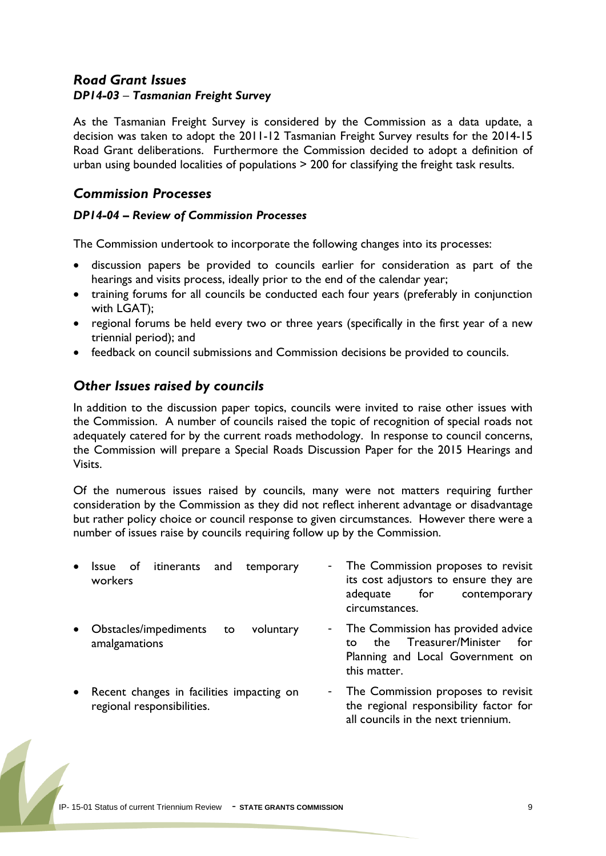#### *Road Grant Issues DP14-03* – *Tasmanian Freight Survey*

As the Tasmanian Freight Survey is considered by the Commission as a data update, a decision was taken to adopt the 2011-12 Tasmanian Freight Survey results for the 2014-15 Road Grant deliberations. Furthermore the Commission decided to adopt a definition of urban using bounded localities of populations > 200 for classifying the freight task results.

#### *Commission Processes*

#### *DP14-04 – Review of Commission Processes*

The Commission undertook to incorporate the following changes into its processes:

- discussion papers be provided to councils earlier for consideration as part of the hearings and visits process, ideally prior to the end of the calendar year;
- training forums for all councils be conducted each four years (preferably in conjunction with LGAT);
- regional forums be held every two or three years (specifically in the first year of a new triennial period); and
- feedback on council submissions and Commission decisions be provided to councils.

#### *Other Issues raised by councils*

In addition to the discussion paper topics, councils were invited to raise other issues with the Commission. A number of councils raised the topic of recognition of special roads not adequately catered for by the current roads methodology. In response to council concerns, the Commission will prepare a Special Roads Discussion Paper for the 2015 Hearings and Visits.

Of the numerous issues raised by councils, many were not matters requiring further consideration by the Commission as they did not reflect inherent advantage or disadvantage but rather policy choice or council response to given circumstances. However there were a number of issues raise by councils requiring follow up by the Commission.

| $\bullet$ | of itinerants<br>and<br>temporary<br><i><b>Issue</b></i><br>workers     | - The Commission proposes to revisit<br>its cost adjustors to ensure they are<br>for<br>contemporary<br>adequate<br>circumstances. |
|-----------|-------------------------------------------------------------------------|------------------------------------------------------------------------------------------------------------------------------------|
| $\bullet$ | Obstacles/impediments<br>voluntary<br>to<br>amalgamations               | - The Commission has provided advice<br>Treasurer/Minister<br>for<br>the<br>to<br>Planning and Local Government on<br>this matter. |
| $\bullet$ | Recent changes in facilities impacting on<br>regional responsibilities. | - The Commission proposes to revisit<br>the regional responsibility factor for<br>all councils in the next triennium.              |